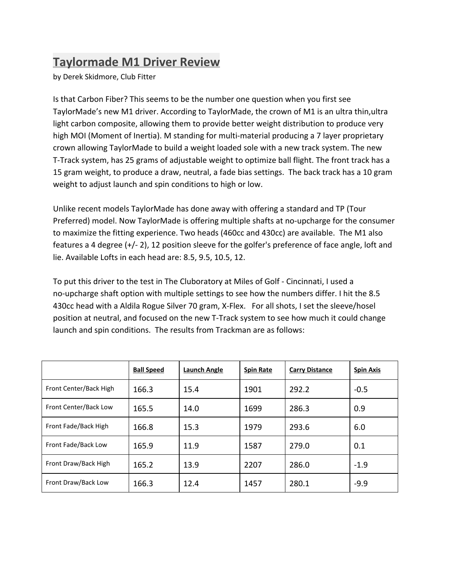## **Taylormade M1 Driver Review**

by Derek Skidmore, Club Fitter

Is that Carbon Fiber? This seems to be the number one question when you first see TaylorMade's new M1 driver. According to TaylorMade, the crown of M1 is an ultra thin,ultra light carbon composite, allowing them to provide better weight distribution to produce very high MOI (Moment of Inertia). M standing for multi-material producing a 7 layer proprietary crown allowing TaylorMade to build a weight loaded sole with a new track system. The new T-Track system, has 25 grams of adjustable weight to optimize ball flight. The front track has a 15 gram weight, to produce a draw, neutral, a fade bias settings. The back track has a 10 gram weight to adjust launch and spin conditions to high or low.

Unlike recent models TaylorMade has done away with offering a standard and TP (Tour Preferred) model. Now TaylorMade is offering multiple shafts at no-upcharge for the consumer to maximize the fitting experience. Two heads (460cc and 430cc) are available. The M1 also features a 4 degree (+/- 2), 12 position sleeve for the golfer's preference of face angle, loft and lie. Available Lofts in each head are: 8.5, 9.5, 10.5, 12.

To put this driver to the test in The Cluboratory at Miles of Golf - Cincinnati, I used a no-upcharge shaft option with multiple settings to see how the numbers differ. I hit the 8.5 430cc head with a Aldila Rogue Silver 70 gram, X-Flex. For all shots, I set the sleeve/hosel position at neutral, and focused on the new T-Track system to see how much it could change launch and spin conditions. The results from Trackman are as follows:

|                        | <b>Ball Speed</b> | Launch Angle | <b>Spin Rate</b> | <b>Carry Distance</b> | <b>Spin Axis</b> |
|------------------------|-------------------|--------------|------------------|-----------------------|------------------|
| Front Center/Back High | 166.3             | 15.4         | 1901             | 292.2                 | $-0.5$           |
| Front Center/Back Low  | 165.5             | 14.0         | 1699             | 286.3                 | 0.9              |
| Front Fade/Back High   | 166.8             | 15.3         | 1979             | 293.6                 | 6.0              |
| Front Fade/Back Low    | 165.9             | 11.9         | 1587             | 279.0                 | 0.1              |
| Front Draw/Back High   | 165.2             | 13.9         | 2207             | 286.0                 | $-1.9$           |
| Front Draw/Back Low    | 166.3             | 12.4         | 1457             | 280.1                 | $-9.9$           |